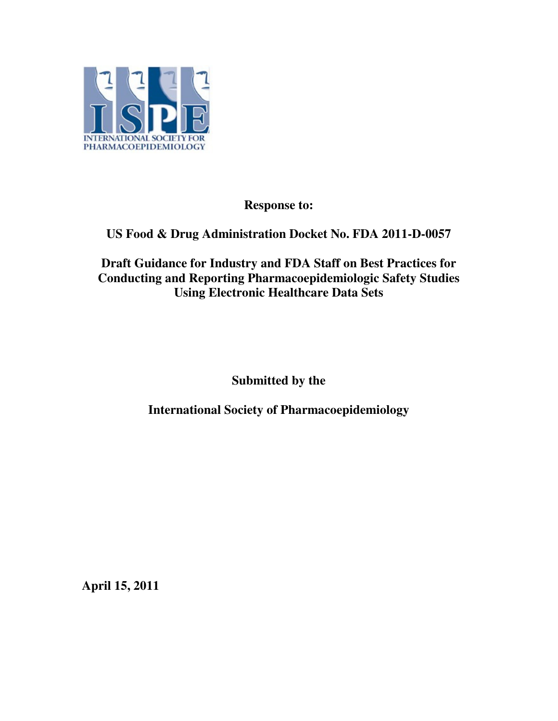

**Response to:** 

# **US Food & Drug Administration Docket No. FDA 2011-D-0057**

## **Draft Guidance for Industry and FDA Staff on Best Practices for Conducting and Reporting Pharmacoepidemiologic Safety Studies Using Electronic Healthcare Data Sets**

**Submitted by the** 

**International Society of Pharmacoepidemiology** 

**April 15, 2011**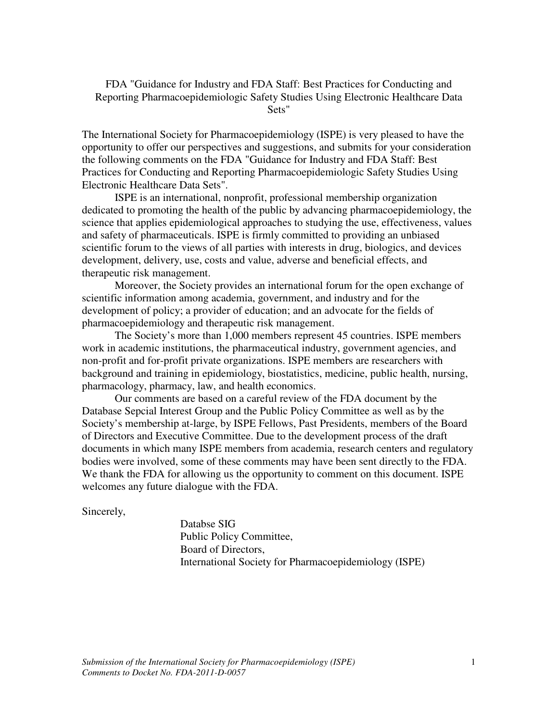FDA "Guidance for Industry and FDA Staff: Best Practices for Conducting and Reporting Pharmacoepidemiologic Safety Studies Using Electronic Healthcare Data Sets"

The International Society for Pharmacoepidemiology (ISPE) is very pleased to have the opportunity to offer our perspectives and suggestions, and submits for your consideration the following comments on the FDA "Guidance for Industry and FDA Staff: Best Practices for Conducting and Reporting Pharmacoepidemiologic Safety Studies Using Electronic Healthcare Data Sets".

 ISPE is an international, nonprofit, professional membership organization dedicated to promoting the health of the public by advancing pharmacoepidemiology, the science that applies epidemiological approaches to studying the use, effectiveness, values and safety of pharmaceuticals. ISPE is firmly committed to providing an unbiased scientific forum to the views of all parties with interests in drug, biologics, and devices development, delivery, use, costs and value, adverse and beneficial effects, and therapeutic risk management.

 Moreover, the Society provides an international forum for the open exchange of scientific information among academia, government, and industry and for the development of policy; a provider of education; and an advocate for the fields of pharmacoepidemiology and therapeutic risk management.

 The Society's more than 1,000 members represent 45 countries. ISPE members work in academic institutions, the pharmaceutical industry, government agencies, and non-profit and for-profit private organizations. ISPE members are researchers with background and training in epidemiology, biostatistics, medicine, public health, nursing, pharmacology, pharmacy, law, and health economics.

 Our comments are based on a careful review of the FDA document by the Database Sepcial Interest Group and the Public Policy Committee as well as by the Society's membership at-large, by ISPE Fellows, Past Presidents, members of the Board of Directors and Executive Committee. Due to the development process of the draft documents in which many ISPE members from academia, research centers and regulatory bodies were involved, some of these comments may have been sent directly to the FDA. We thank the FDA for allowing us the opportunity to comment on this document. ISPE welcomes any future dialogue with the FDA.

Sincerely,

 Databse SIG Public Policy Committee, Board of Directors, International Society for Pharmacoepidemiology (ISPE)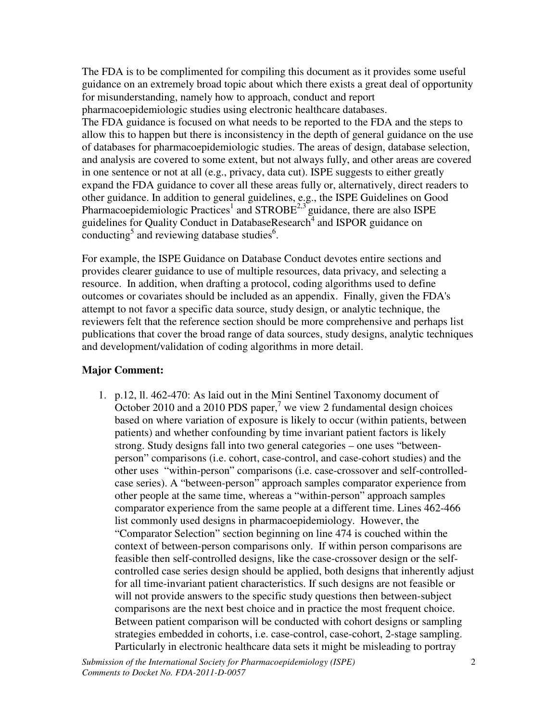The FDA is to be complimented for compiling this document as it provides some useful guidance on an extremely broad topic about which there exists a great deal of opportunity for misunderstanding, namely how to approach, conduct and report pharmacoepidemiologic studies using electronic healthcare databases. The FDA guidance is focused on what needs to be reported to the FDA and the steps to allow this to happen but there is inconsistency in the depth of general guidance on the use of databases for pharmacoepidemiologic studies. The areas of design, database selection, and analysis are covered to some extent, but not always fully, and other areas are covered in one sentence or not at all (e.g., privacy, data cut). ISPE suggests to either greatly expand the FDA guidance to cover all these areas fully or, alternatively, direct readers to other guidance. In addition to general guidelines, e.g., the ISPE Guidelines on Good Pharmacoepidemiologic Practices<sup>1</sup> and STROBE<sup>2,3</sup> guidance, there are also ISPE guidelines for Quality Conduct in DatabaseResearch<sup>4</sup> and ISPOR guidance on conducting<sup>5</sup> and reviewing database studies<sup>6</sup>.

For example, the ISPE Guidance on Database Conduct devotes entire sections and provides clearer guidance to use of multiple resources, data privacy, and selecting a resource. In addition, when drafting a protocol, coding algorithms used to define outcomes or covariates should be included as an appendix. Finally, given the FDA's attempt to not favor a specific data source, study design, or analytic technique, the reviewers felt that the reference section should be more comprehensive and perhaps list publications that cover the broad range of data sources, study designs, analytic techniques and development/validation of coding algorithms in more detail.

#### **Major Comment:**

1. p.12, ll. 462-470: As laid out in the Mini Sentinel Taxonomy document of October 2010 and a 2010 PDS paper,<sup>7</sup> we view 2 fundamental design choices based on where variation of exposure is likely to occur (within patients, between patients) and whether confounding by time invariant patient factors is likely strong. Study designs fall into two general categories – one uses "betweenperson" comparisons (i.e. cohort, case-control, and case-cohort studies) and the other uses "within-person" comparisons (i.e. case-crossover and self-controlledcase series). A "between-person" approach samples comparator experience from other people at the same time, whereas a "within-person" approach samples comparator experience from the same people at a different time. Lines 462-466 list commonly used designs in pharmacoepidemiology. However, the "Comparator Selection" section beginning on line 474 is couched within the context of between-person comparisons only. If within person comparisons are feasible then self-controlled designs, like the case-crossover design or the selfcontrolled case series design should be applied, both designs that inherently adjust for all time-invariant patient characteristics. If such designs are not feasible or will not provide answers to the specific study questions then between-subject comparisons are the next best choice and in practice the most frequent choice. Between patient comparison will be conducted with cohort designs or sampling strategies embedded in cohorts, i.e. case-control, case-cohort, 2-stage sampling. Particularly in electronic healthcare data sets it might be misleading to portray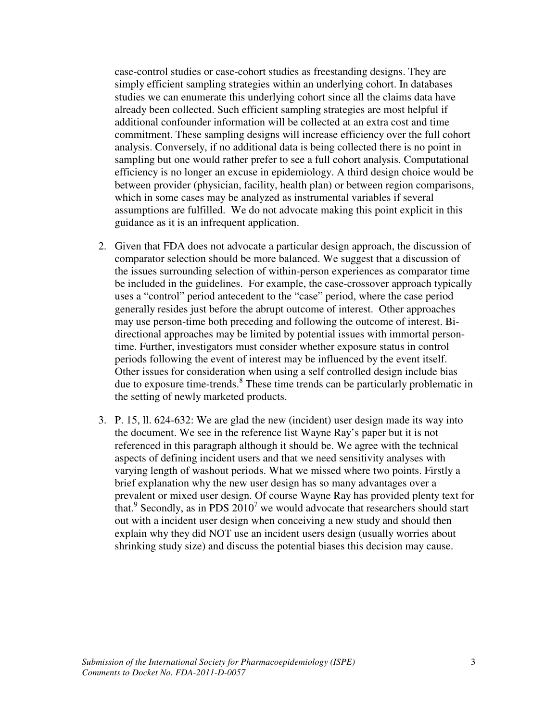case-control studies or case-cohort studies as freestanding designs. They are simply efficient sampling strategies within an underlying cohort. In databases studies we can enumerate this underlying cohort since all the claims data have already been collected. Such efficient sampling strategies are most helpful if additional confounder information will be collected at an extra cost and time commitment. These sampling designs will increase efficiency over the full cohort analysis. Conversely, if no additional data is being collected there is no point in sampling but one would rather prefer to see a full cohort analysis. Computational efficiency is no longer an excuse in epidemiology. A third design choice would be between provider (physician, facility, health plan) or between region comparisons, which in some cases may be analyzed as instrumental variables if several assumptions are fulfilled. We do not advocate making this point explicit in this guidance as it is an infrequent application.

- 2. Given that FDA does not advocate a particular design approach, the discussion of comparator selection should be more balanced. We suggest that a discussion of the issues surrounding selection of within-person experiences as comparator time be included in the guidelines. For example, the case-crossover approach typically uses a "control" period antecedent to the "case" period, where the case period generally resides just before the abrupt outcome of interest. Other approaches may use person-time both preceding and following the outcome of interest. Bidirectional approaches may be limited by potential issues with immortal persontime. Further, investigators must consider whether exposure status in control periods following the event of interest may be influenced by the event itself. Other issues for consideration when using a self controlled design include bias due to exposure time-trends.<sup>8</sup> These time trends can be particularly problematic in the setting of newly marketed products.
- 3. P. 15, ll. 624-632: We are glad the new (incident) user design made its way into the document. We see in the reference list Wayne Ray's paper but it is not referenced in this paragraph although it should be. We agree with the technical aspects of defining incident users and that we need sensitivity analyses with varying length of washout periods. What we missed where two points. Firstly a brief explanation why the new user design has so many advantages over a prevalent or mixed user design. Of course Wayne Ray has provided plenty text for that.<sup>9</sup> Secondly, as in PDS  $2010<sup>7</sup>$  we would advocate that researchers should start out with a incident user design when conceiving a new study and should then explain why they did NOT use an incident users design (usually worries about shrinking study size) and discuss the potential biases this decision may cause.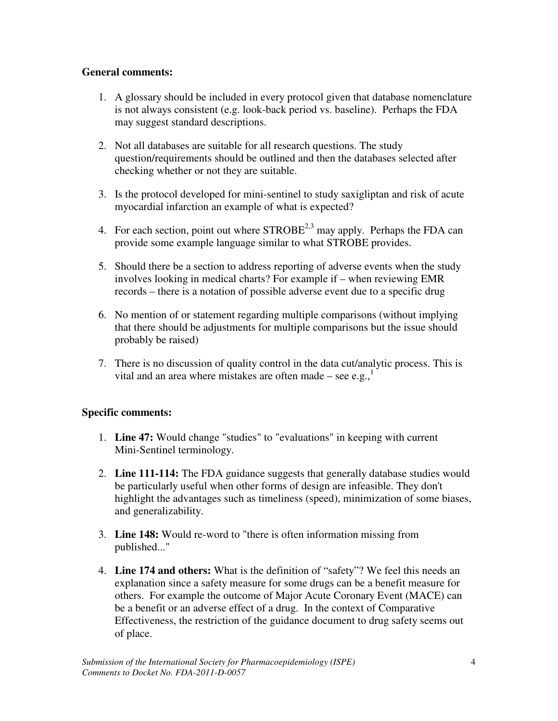### **General comments:**

- 1. A glossary should be included in every protocol given that database nomenclature is not always consistent (e.g. look-back period vs. baseline). Perhaps the FDA may suggest standard descriptions.
- 2. Not all databases are suitable for all research questions. The study question/requirements should be outlined and then the databases selected after checking whether or not they are suitable.
- 3. Is the protocol developed for mini-sentinel to study saxigliptan and risk of acute myocardial infarction an example of what is expected?
- 4. For each section, point out where  $STROBE^{2,3}$  may apply. Perhaps the FDA can provide some example language similar to what STROBE provides.
- 5. Should there be a section to address reporting of adverse events when the study involves looking in medical charts? For example if – when reviewing EMR records – there is a notation of possible adverse event due to a specific drug
- 6. No mention of or statement regarding multiple comparisons (without implying that there should be adjustments for multiple comparisons but the issue should probably be raised)
- 7. There is no discussion of quality control in the data cut/analytic process. This is vital and an area where mistakes are often made – see e.g., $<sup>1</sup>$ </sup>

#### **Specific comments:**

- 1. **Line 47:** Would change "studies" to "evaluations" in keeping with current Mini-Sentinel terminology.
- 2. **Line 111-114:** The FDA guidance suggests that generally database studies would be particularly useful when other forms of design are infeasible. They don't highlight the advantages such as timeliness (speed), minimization of some biases, and generalizability.
- 3. **Line 148:** Would re-word to "there is often information missing from published..."
- 4. **Line 174 and others:** What is the definition of "safety"? We feel this needs an explanation since a safety measure for some drugs can be a benefit measure for others. For example the outcome of Major Acute Coronary Event (MACE) can be a benefit or an adverse effect of a drug. In the context of Comparative Effectiveness, the restriction of the guidance document to drug safety seems out of place.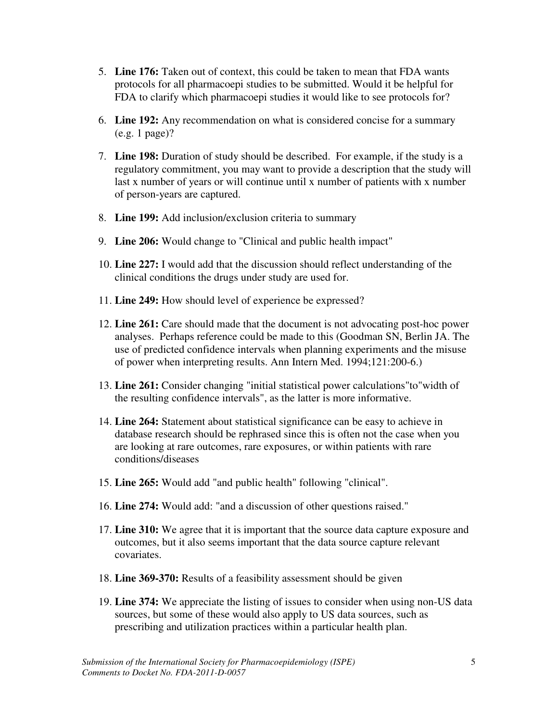- 5. **Line 176:** Taken out of context, this could be taken to mean that FDA wants protocols for all pharmacoepi studies to be submitted. Would it be helpful for FDA to clarify which pharmacoepi studies it would like to see protocols for?
- 6. **Line 192:** Any recommendation on what is considered concise for a summary (e.g. 1 page)?
- 7. **Line 198:** Duration of study should be described. For example, if the study is a regulatory commitment, you may want to provide a description that the study will last x number of years or will continue until x number of patients with x number of person-years are captured.
- 8. **Line 199:** Add inclusion/exclusion criteria to summary
- 9. **Line 206:** Would change to "Clinical and public health impact"
- 10. **Line 227:** I would add that the discussion should reflect understanding of the clinical conditions the drugs under study are used for.
- 11. **Line 249:** How should level of experience be expressed?
- 12. **Line 261:** Care should made that the document is not advocating post-hoc power analyses. Perhaps reference could be made to this (Goodman SN, Berlin JA. The use of predicted confidence intervals when planning experiments and the misuse of power when interpreting results. Ann Intern Med. 1994;121:200-6.)
- 13. **Line 261:** Consider changing "initial statistical power calculations"to"width of the resulting confidence intervals", as the latter is more informative.
- 14. **Line 264:** Statement about statistical significance can be easy to achieve in database research should be rephrased since this is often not the case when you are looking at rare outcomes, rare exposures, or within patients with rare conditions/diseases
- 15. **Line 265:** Would add "and public health" following "clinical".
- 16. **Line 274:** Would add: "and a discussion of other questions raised."
- 17. **Line 310:** We agree that it is important that the source data capture exposure and outcomes, but it also seems important that the data source capture relevant covariates.
- 18. **Line 369-370:** Results of a feasibility assessment should be given
- 19. **Line 374:** We appreciate the listing of issues to consider when using non-US data sources, but some of these would also apply to US data sources, such as prescribing and utilization practices within a particular health plan.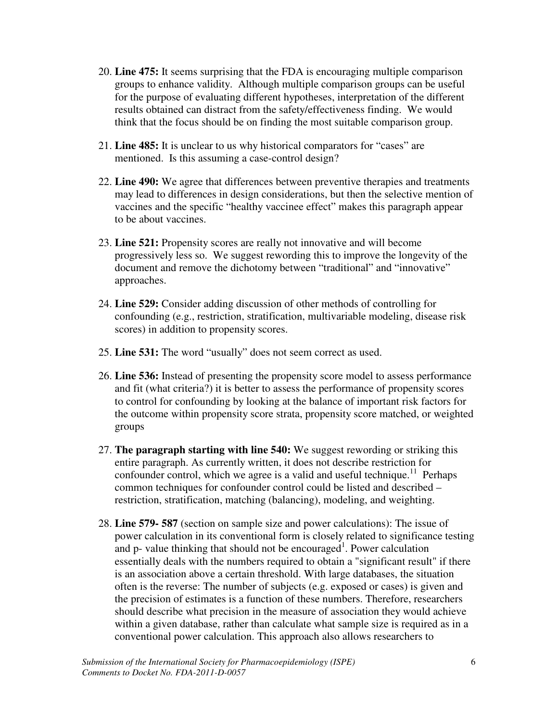- 20. **Line 475:** It seems surprising that the FDA is encouraging multiple comparison groups to enhance validity. Although multiple comparison groups can be useful for the purpose of evaluating different hypotheses, interpretation of the different results obtained can distract from the safety/effectiveness finding. We would think that the focus should be on finding the most suitable comparison group.
- 21. **Line 485:** It is unclear to us why historical comparators for "cases" are mentioned. Is this assuming a case-control design?
- 22. **Line 490:** We agree that differences between preventive therapies and treatments may lead to differences in design considerations, but then the selective mention of vaccines and the specific "healthy vaccinee effect" makes this paragraph appear to be about vaccines.
- 23. **Line 521:** Propensity scores are really not innovative and will become progressively less so. We suggest rewording this to improve the longevity of the document and remove the dichotomy between "traditional" and "innovative" approaches.
- 24. **Line 529:** Consider adding discussion of other methods of controlling for confounding (e.g., restriction, stratification, multivariable modeling, disease risk scores) in addition to propensity scores.
- 25. **Line 531:** The word "usually" does not seem correct as used.
- 26. **Line 536:** Instead of presenting the propensity score model to assess performance and fit (what criteria?) it is better to assess the performance of propensity scores to control for confounding by looking at the balance of important risk factors for the outcome within propensity score strata, propensity score matched, or weighted groups
- 27. **The paragraph starting with line 540:** We suggest rewording or striking this entire paragraph. As currently written, it does not describe restriction for confounder control, which we agree is a valid and useful technique.<sup>11</sup> Perhaps common techniques for confounder control could be listed and described – restriction, stratification, matching (balancing), modeling, and weighting.
- 28. **Line 579- 587** (section on sample size and power calculations): The issue of power calculation in its conventional form is closely related to significance testing and  $p$ - value thinking that should not be encouraged<sup>1</sup>. Power calculation essentially deals with the numbers required to obtain a "significant result" if there is an association above a certain threshold. With large databases, the situation often is the reverse: The number of subjects (e.g. exposed or cases) is given and the precision of estimates is a function of these numbers. Therefore, researchers should describe what precision in the measure of association they would achieve within a given database, rather than calculate what sample size is required as in a conventional power calculation. This approach also allows researchers to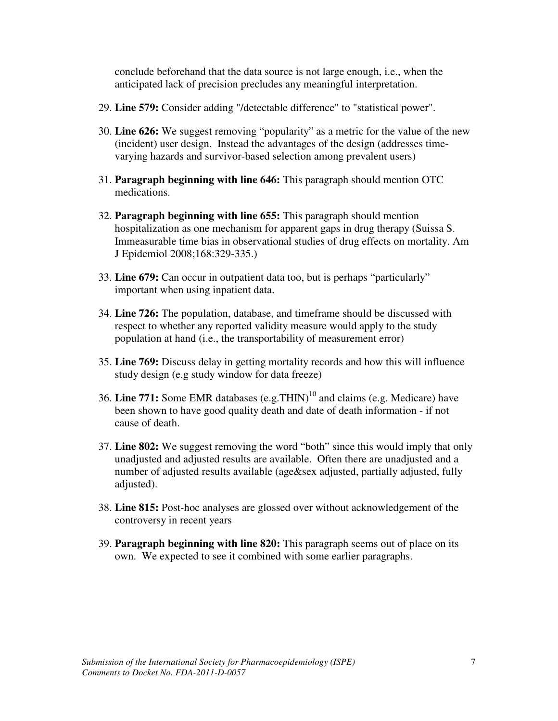conclude beforehand that the data source is not large enough, i.e., when the anticipated lack of precision precludes any meaningful interpretation.

- 29. **Line 579:** Consider adding "/detectable difference" to "statistical power".
- 30. **Line 626:** We suggest removing "popularity" as a metric for the value of the new (incident) user design. Instead the advantages of the design (addresses timevarying hazards and survivor-based selection among prevalent users)
- 31. **Paragraph beginning with line 646:** This paragraph should mention OTC medications.
- 32. **Paragraph beginning with line 655:** This paragraph should mention hospitalization as one mechanism for apparent gaps in drug therapy (Suissa S. Immeasurable time bias in observational studies of drug effects on mortality. Am J Epidemiol 2008;168:329-335.)
- 33. **Line 679:** Can occur in outpatient data too, but is perhaps "particularly" important when using inpatient data.
- 34. **Line 726:** The population, database, and timeframe should be discussed with respect to whether any reported validity measure would apply to the study population at hand (i.e., the transportability of measurement error)
- 35. **Line 769:** Discuss delay in getting mortality records and how this will influence study design (e.g study window for data freeze)
- 36. Line 771: Some EMR databases (e.g.THIN)<sup>10</sup> and claims (e.g. Medicare) have been shown to have good quality death and date of death information - if not cause of death.
- 37. **Line 802:** We suggest removing the word "both" since this would imply that only unadjusted and adjusted results are available. Often there are unadjusted and a number of adjusted results available (age&sex adjusted, partially adjusted, fully adjusted).
- 38. **Line 815:** Post-hoc analyses are glossed over without acknowledgement of the controversy in recent years
- 39. **Paragraph beginning with line 820:** This paragraph seems out of place on its own. We expected to see it combined with some earlier paragraphs.